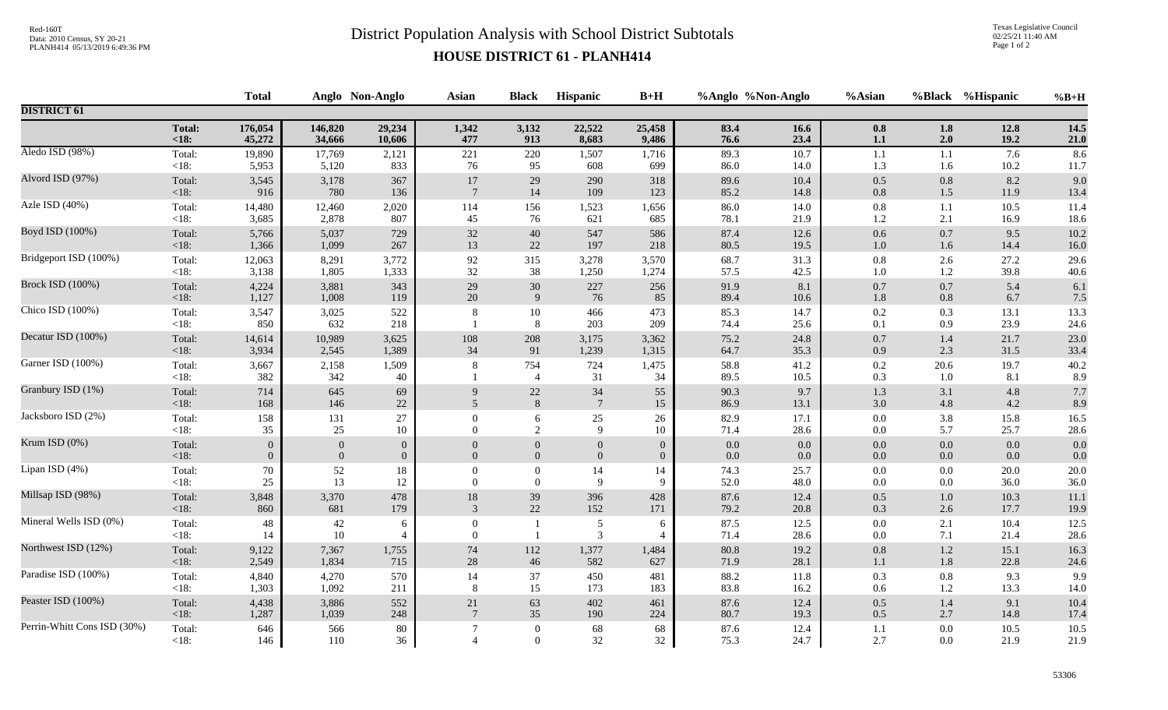## Red-160T<br>District Population Analysis with School District Subtotals

Texas Legislative Council 02/25/21 11:40 AM Page 1 of 2

## **HOUSE DISTRICT 61 - PLANH414**

|                             |                   | <b>Total</b>      |                | Anglo Non-Anglo     | <b>Asian</b>               | <b>Black</b>                     | Hispanic                         | $B+H$               |              | %Anglo %Non-Anglo | %Asian             |                | %Black %Hispanic | $%B+H$           |
|-----------------------------|-------------------|-------------------|----------------|---------------------|----------------------------|----------------------------------|----------------------------------|---------------------|--------------|-------------------|--------------------|----------------|------------------|------------------|
| <b>DISTRICT 61</b>          |                   |                   |                |                     |                            |                                  |                                  |                     |              |                   |                    |                |                  |                  |
|                             | <b>Total:</b>     | 176,054           | 146,820        | 29,234              | 1,342                      | 3,132                            | 22,522                           | 25,458              | 83.4         | 16.6              | 0.8                | 1.8            | 12.8             | 14.5             |
|                             | $18:$             | 45,272            | 34,666         | 10,606              | 477                        | 913                              | 8,683                            | 9,486               | 76.6         | 23.4              | $1.1\,$            | 2.0            | 19.2             | $21.0$           |
| Aledo ISD (98%)             | Total:            | 19,890            | 17,769         | 2,121               | 221                        | 220                              | 1,507                            | 1,716               | 89.3         | 10.7              | $1.1\,$            | 1.1            | 7.6              | 8.6              |
|                             | <18:              | 5,953             | 5,120          | 833                 | 76                         | 95                               | 608                              | 699                 | 86.0         | 14.0              | 1.3                | 1.6            | 10.2             | 11.7             |
| Alvord ISD (97%)            | Total:            | 3,545             | 3,178          | 367                 | 17                         | 29                               | 290                              | 318                 | 89.6         | 10.4              | $0.5\,$            | 0.8            | 8.2              | 9.0              |
|                             | < 18:             | 916               | 780            | 136                 | $7\phantom{.0}$            | 14                               | 109                              | 123                 | 85.2         | 14.8              | $0.8\,$            | $1.5$          | 11.9             | 13.4             |
| Azle ISD (40%)              | Total:            | 14,480            | 12,460         | 2,020               | 114                        | 156                              | 1,523                            | 1,656               | 86.0         | 14.0              | $0.8\,$            | 1.1            | 10.5             | 11.4             |
|                             | <18:              | 3,685             | 2,878          | 807                 | 45                         | 76                               | 621                              | 685                 | 78.1         | 21.9              | 1.2                | 2.1            | 16.9             | 18.6             |
| Boyd ISD (100%)             | Total:            | 5,766             | 5,037          | 729                 | $32\,$                     | 40                               | 547                              | 586                 | 87.4         | 12.6              | 0.6                | 0.7            | 9.5              | 10.2             |
|                             | < 18:             | 1,366             | 1,099          | 267                 | 13                         | 22                               | 197                              | 218                 | 80.5         | 19.5              | $1.0\,$            | 1.6            | 14.4             | 16.0             |
| Bridgeport ISD (100%)       | Total:            | 12,063            | 8,291          | 3,772               | $92\,$                     | 315                              | 3,278                            | 3,570               | 68.7         | 31.3              | $0.8\,$            | 2.6            | 27.2             | 29.6             |
|                             | $<18$ :           | 3,138             | 1,805          | 1,333               | 32                         | 38                               | 1,250                            | 1,274               | 57.5         | 42.5              | 1.0                | 1.2            | 39.8             | $40.6\,$         |
| <b>Brock ISD (100%)</b>     | Total:            | 4,224             | 3,881          | 343                 | 29                         | $30\,$                           | 227                              | 256                 | 91.9         | 8.1               | $0.7\,$            | $0.7\,$        | 5.4              | 6.1              |
|                             | <18:              | 1,127             | 1,008          | 119                 | 20                         | $\overline{9}$                   | 76                               | 85                  | 89.4         | 10.6              | 1.8                | 0.8            | 6.7              | 7.5              |
| Chico ISD (100%)            | Total:<br>$<18$ : | 3,547<br>850      | 3,025<br>632   | 522<br>218          |                            | $10\,$<br>8                      | 466<br>203                       | 473<br>209          | 85.3<br>74.4 | 14.7<br>25.6      | 0.2<br>0.1         | 0.3<br>0.9     | 13.1<br>23.9     | 13.3<br>24.6     |
| Decatur ISD (100%)          | Total:            | 14,614            | 10,989         | 3,625               | 108                        | 208                              | 3,175                            | 3,362               | 75.2         | 24.8              | $0.7\,$            | 1.4            | 21.7             | 23.0             |
|                             | <18:              | 3,934             | 2,545          | 1,389               | 34                         | 91                               | 1,239                            | 1,315               | 64.7         | 35.3              | 0.9                | 2.3            | 31.5             | 33.4             |
| Garner ISD (100%)           | Total:<br><18:    | 3,667<br>382      | 2,158<br>342   | 1,509<br>40         | 8                          | 754<br>$\overline{4}$            | 724<br>31                        | 1,475<br>34         | 58.8<br>89.5 | 41.2<br>10.5      | $0.2\,$<br>0.3     | 20.6<br>1.0    | 19.7<br>8.1      | 40.2<br>8.9      |
| Granbury ISD (1%)           | Total:            | 714               | 645            | 69                  | 9                          | $22\,$                           | $34\,$                           | 55                  | 90.3         | 9.7               | 1.3                | 3.1            | 4.8              | 7.7              |
|                             | <18:              | 168               | 146            | $22\,$              | 5                          | $\,$ 8 $\,$                      | $\boldsymbol{7}$                 | 15                  | 86.9         | 13.1              | 3.0                | 4.8            | 4.2              | 8.9              |
| Jacksboro ISD (2%)          | Total:            | 158               | 131            | $27\,$              | $\Omega$                   | $\sqrt{6}$                       | $25\,$                           | 26                  | 82.9         | 17.1              | $0.0\,$            | 3.8            | 15.8             | 16.5             |
|                             | <18:              | 35                | 25             | 10                  | $\overline{0}$             | 2                                | 9                                | 10                  | 71.4         | 28.6              | $0.0\,$            | 5.7            | 25.7             | 28.6             |
| Krum ISD (0%)               | Total:            | $\mathbf{0}$      | $\mathbf{0}$   | $\mathbf{0}$        | $\Omega$                   | $\boldsymbol{0}$                 | $\boldsymbol{0}$                 | $\mathbf{0}$        | $0.0\,$      | $0.0\,$           | $0.0\,$            | 0.0            | 0.0              | 0.0              |
|                             | <18:              | $\theta$          | $\overline{0}$ | $\overline{0}$      | $\Omega$                   | $\mathbf{0}$                     | $\mathbf{0}$                     | $\overline{0}$      | 0.0          | $0.0\,$           | $0.0\,$            | 0.0            | 0.0              | 0.0              |
| Lipan ISD (4%)              | Total:            | $70\,$            | 52             | 18                  | $\theta$                   | $\boldsymbol{0}$                 | $14\,$                           | 14                  | 74.3         | 25.7              | $0.0\,$            | 0.0            | 20.0             | $20.0\,$         |
|                             | <18:              | 25                | 13             | 12                  | $\Omega$                   | $\mathbf{0}$                     | 9                                | 9                   | 52.0         | 48.0              | 0.0                | 0.0            | 36.0             | $36.0\,$         |
| Millsap ISD (98%)           | Total:            | 3,848             | 3,370          | 478                 | $18\,$                     | 39                               | 396                              | 428                 | 87.6         | 12.4              | $0.5\,$            | 1.0            | 10.3             | 11.1             |
|                             | $<18$ :           | 860               | 681            | 179                 | 3                          | 22                               | 152                              | 171                 | 79.2         | 20.8              | 0.3                | $2.6\,$        | 17.7             | 19.9             |
| Mineral Wells ISD (0%)      | Total:<br>$<18$ : | $\sqrt{48}$<br>14 | 42<br>$10\,$   | 6<br>$\overline{4}$ | $\overline{0}$<br>$\theta$ | $\overline{1}$                   | $\mathfrak{S}$<br>$\mathfrak{Z}$ | 6<br>$\overline{4}$ | 87.5<br>71.4 | 12.5<br>28.6      | $0.0\,$<br>$0.0\,$ | 2.1<br>7.1     | 10.4<br>21.4     | 12.5<br>$28.6\,$ |
| Northwest ISD (12%)         | Total:            | 9,122             | 7,367          | 1,755               | $74\,$                     | 112                              | 1,377                            | 1,484               | 80.8         | 19.2              | $0.8\,$            | $1.2\,$        | 15.1             | 16.3             |
|                             | $<18$ :           | 2,549             | 1,834          | 715                 | $28\,$                     | $46\,$                           | 582                              | 627                 | 71.9         | 28.1              | $1.1\,$            | $1.8\,$        | 22.8             | 24.6             |
| Paradise ISD (100%)         | Total:            | 4,840             | 4,270          | 570                 | 14                         | 37                               | 450                              | 481                 | 88.2         | 11.8              | 0.3                | $0.8\,$        | 9.3              | 9.9              |
|                             | $<18$ :           | 1,303             | 1,092          | 211                 | 8                          | 15                               | 173                              | 183                 | 83.8         | 16.2              | 0.6                | 1.2            | 13.3             | 14.0             |
| Peaster ISD (100%)          | Total:            | 4,438             | 3,886          | 552                 | $21\,$                     | 63                               | 402                              | 461                 | 87.6         | 12.4              | $0.5\,$            | 1.4            | 9.1              | 10.4             |
|                             | $<18$ :           | 1,287             | 1,039          | 248                 | $\overline{7}$             | 35                               | 190                              | 224                 | 80.7         | 19.3              | $0.5\,$            | 2.7            | 14.8             | 17.4             |
| Perrin-Whitt Cons ISD (30%) | Total:<br>$<18$ : | 646<br>146        | 566<br>110     | 80<br>36            |                            | $\boldsymbol{0}$<br>$\mathbf{0}$ | 68<br>$32\,$                     | 68<br>32            | 87.6<br>75.3 | 12.4<br>24.7      | 1.1<br>2.7         | 0.0<br>$0.0\,$ | 10.5<br>21.9     | 10.5<br>21.9     |